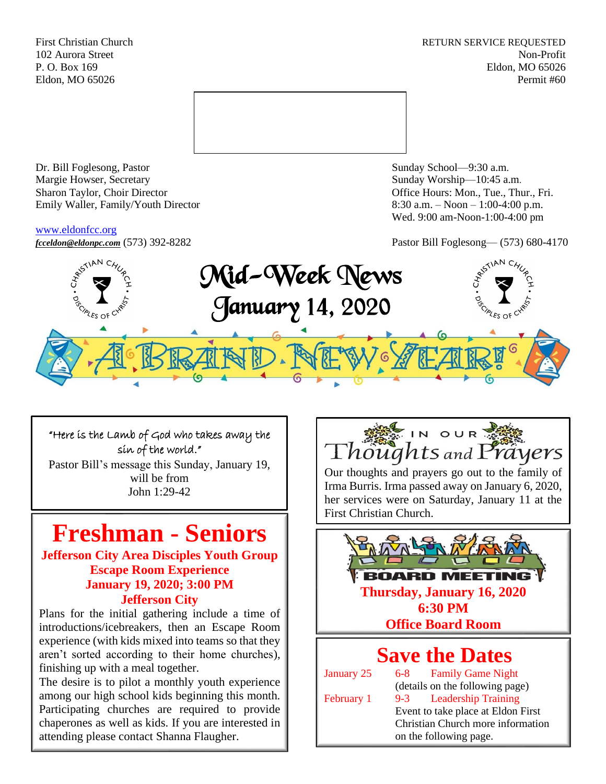First Christian Church **RETURN SERVICE REQUESTED** 102 Aurora Street Non-Profit P. O. Box 169 Eldon, MO 65026 Eldon, MO 65026 Permit #60



Dr. Bill Foglesong, Pastor Sunday School—9:30 a.m. Margie Howser, Secretary Sunday Worship—10:45 a.m. Sharon Taylor, Choir Director **Channel Controllering Controllering Controllering Controllering Controllering Controllering Controllering Controllering Controllering Controllering Controllering Controllering Controllering C** Emily Waller, Family/Youth Director 8:30 a.m. – Noon – 1:00-4:00 p.m.

### [www.eldonfcc.org](http://www.eldonfcc.org/)

Wed. 9:00 am-Noon-1:00-4:00 pm



### "Here is the Lamb of God who takes away the sin of the world."

Pastor Bill's message this Sunday, January 19, will be from John 1:29-42

# **Freshman - Seniors**

**Jefferson City Area Disciples Youth Group Escape Room Experience January 19, 2020; 3:00 PM Jefferson City**

Plans for the initial gathering include a time of introductions/icebreakers, then an Escape Room experience (with kids mixed into teams so that they aren't sorted according to their home churches), finishing up with a meal together.

The desire is to pilot a monthly youth experience among our high school kids beginning this month. Participating churches are required to provide chaperones as well as kids. If you are interested in attending please contact Shanna Flaugher.



Our thoughts and prayers go out to the family of Irma Burris. Irma passed away on January 6, 2020, her services were on Saturday, January 11 at the First Christian Church.